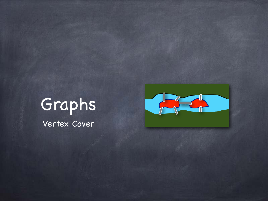### Graphs

Vertex Cover

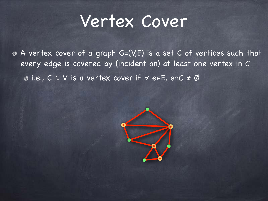#### Vertex Cover

A vertex cover of a graph G=(V,E) is a set C of vertices such that every edge is covered by (incident on) at least one vertex in C i.e., C ⊆ V is a vertex cover if ∀ e∈E, e∩C ≠ Ø

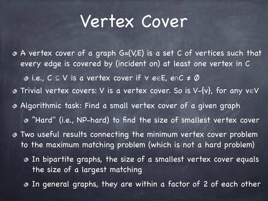### Vertex Cover

Trivial vertex covers: V is a vertex cover. So is V-{v}, for any v∈V Algorithmic task: Find a small vertex cover of a given graph "Hard" (i.e., NP-hard) to find the size of smallest vertex cover Two useful results connecting the minimum vertex cover problem to the maximum matching problem (which is not a hard problem) In bipartite graphs, the size of a smallest vertex cover equals the size of a largest matching In general graphs, they are within a factor of 2 of each other A vertex cover of a graph G=(V,E) is a set C of vertices such that every edge is covered by (incident on) at least one vertex in C i.e., C ⊆ V is a vertex cover if ∀ e∈E, e∩C ≠ Ø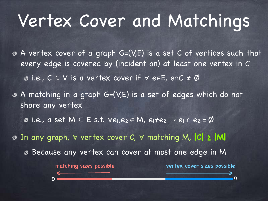## Vertex Cover and Matchings

A vertex cover of a graph G=(V,E) is a set C of vertices such that every edge is covered by (incident on) at least one vertex in C i.e., C ⊆ V is a vertex cover if ∀ e∈E, e∩C ≠ Ø

A matching in a graph G=(V,E) is a set of edges which do not share any vertex

 $\bullet$  **i.e., a set M ⊆ E s.t.**  $\forall e_1, e_2 \in M$ ,  $e_1 \neq e_2 \rightarrow e_1 \cap e_2 = \emptyset$ 

In any graph, ∀ vertex cover C, ∀ matching M, **|C| ≥ |M|**

Because any vertex can cover at most one edge in M

matching sizes possible vertex cover sizes possible

0 n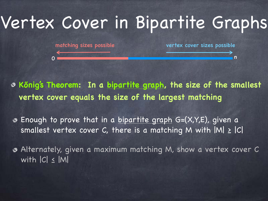## Vertex Cover in Bipartite Graphs

matching sizes possible vertex cover sizes possible

**Kőnig's Theorem: In a bipartite graph, the size of the smallest vertex cover equals the size of the largest matching**

0 **now the contract of the contract of the contract of the contract of the contract of the contract of the contract of the contract of the contract of the contract of the contract of the contract of the contract of the con** 

Enough to prove that in a bipartite graph G=(X,Y,E), given a smallest vertex cover C, there is a matching M with  $|M| \geq |C|$ 

Alternately, given a maximum matching M, show a vertex cover C with |C| ≤ |M|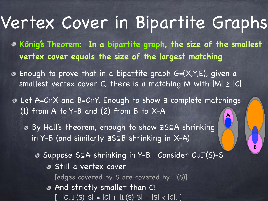### Vertex Cover in Bipartite Graphs

**Kőnig's Theorem: In a bipartite graph, the size of the smallest vertex cover equals the size of the largest matching**

Enough to prove that in a bipartite graph G=(X,Y,E), given a smallest vertex cover C, there is a matching M with  $|M| \geq |C|$ 

Let A=C∩X and B=C∩Y. Enough to show ∃ complete matchings (1) from A to Y-B and (2) from B to X-A A

By Hall's theorem, enough to show ∄S⊆A shrinking in Y-B (and similarly ∄S⊆B shrinking in X-A)

Suppose S⊆A shrinking in Y-B. Consider C∪Γ(S)-S

B

Still a vertex cover

[edges covered by S are covered by Γ(S)]

And strictly smaller than C!  $[ |C \cup \Gamma(S)-S| = |C| + |\Gamma(S)-B| - |S| < |C|. ]$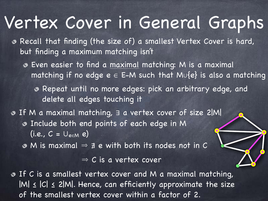#### Vertex Cover in General Graphs

- Recall that finding (the size of) a smallest Vertex Cover is hard, but finding a maximum matching isn't
	- Even easier to find a maximal matching: M is a maximal matching if no edge  $e \in E-M$  such that M∪{e} is also a matching
		- Repeat until no more edges: pick an arbitrary edge, and delete all edges touching it
- If M a maximal matching, ∃ a vertex cover of size 2|M| Include both end points of each edge in M (i.e.,  $C = \cup_{e \in M} e$ )
	- $\bullet$  M is maximal  $\Rightarrow \neq e$  with both its nodes not in C

 $\Rightarrow$  C is a vertex cover

**B** If C is a smallest vertex cover and M a maximal matching,  $|M| \leq |C| \leq 2|M|$ . Hence, can efficiently approximate the size of the smallest vertex cover within a factor of 2.